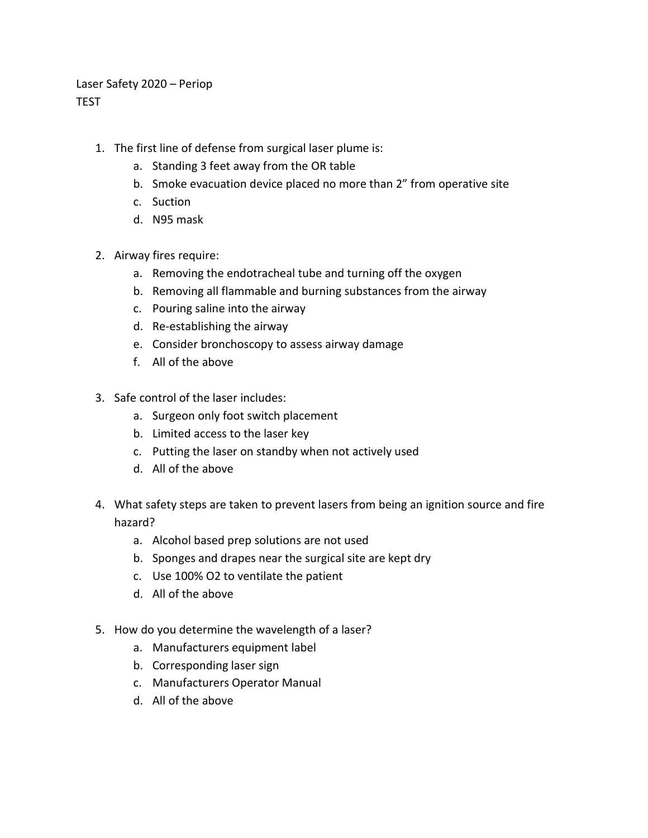Laser Safety 2020 – Periop TEST

- 1. The first line of defense from surgical laser plume is:
	- a. Standing 3 feet away from the OR table
	- b. Smoke evacuation device placed no more than 2" from operative site
	- c. Suction
	- d. N95 mask
- 2. Airway fires require:
	- a. Removing the endotracheal tube and turning off the oxygen
	- b. Removing all flammable and burning substances from the airway
	- c. Pouring saline into the airway
	- d. Re-establishing the airway
	- e. Consider bronchoscopy to assess airway damage
	- f. All of the above
- 3. Safe control of the laser includes:
	- a. Surgeon only foot switch placement
	- b. Limited access to the laser key
	- c. Putting the laser on standby when not actively used
	- d. All of the above
- 4. What safety steps are taken to prevent lasers from being an ignition source and fire hazard?
	- a. Alcohol based prep solutions are not used
	- b. Sponges and drapes near the surgical site are kept dry
	- c. Use 100% O2 to ventilate the patient
	- d. All of the above
- 5. How do you determine the wavelength of a laser?
	- a. Manufacturers equipment label
	- b. Corresponding laser sign
	- c. Manufacturers Operator Manual
	- d. All of the above